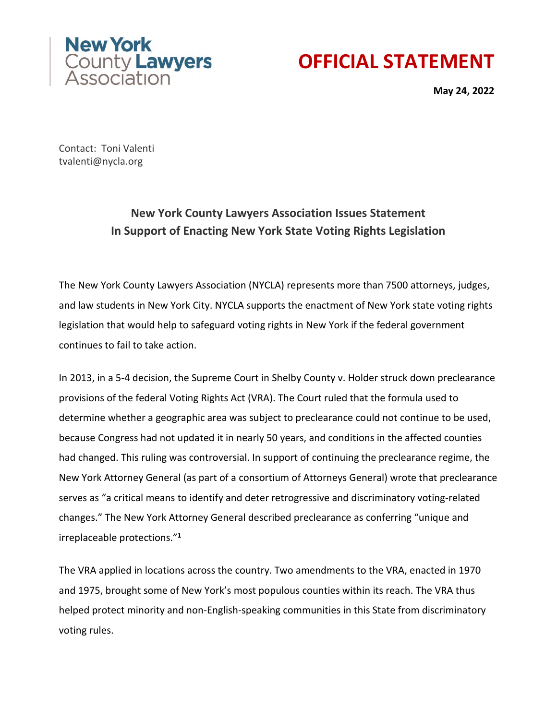



**May 24, 2022**

Contact: Toni Valenti tvalenti@nycla.org

## **New York County Lawyers Association Issues Statement In Support of Enacting New York State Voting Rights Legislation**

The New York County Lawyers Association (NYCLA) represents more than 7500 attorneys, judges, and law students in New York City. NYCLA supports the enactment of New York state voting rights legislation that would help to safeguard voting rights in New York if the federal government continues to fail to take action.

In 2013, in a 5-4 decision, the Supreme Court in Shelby County v. Holder struck down preclearance provisions of the federal Voting Rights Act (VRA). The Court ruled that the formula used to determine whether a geographic area was subject to preclearance could not continue to be used, because Congress had not updated it in nearly 50 years, and conditions in the affected counties had changed. This ruling was controversial. In support of continuing the preclearance regime, the New York Attorney General (as part of a consortium of Attorneys General) wrote that preclearance serves as "a critical means to identify and deter retrogressive and discriminatory voting-related changes." The New York Attorney General described preclearance as conferring "unique and irreplaceable protections."**<sup>1</sup>**

The VRA applied in locations across the country. Two amendments to the VRA, enacted in 1970 and 1975, brought some of New York's most populous counties within its reach. The VRA thus helped protect minority and non-English-speaking communities in this State from discriminatory voting rules.